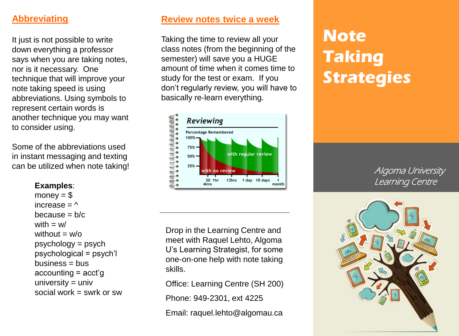# **Abbreviating**

It just is not possible to write down everything a professor says when you are taking notes, nor is it necessary. One technique that will improve your note taking speed is using abbreviations. Using symbols to represent certain words is another technique you may want to consider using.

Some of the abbreviations used in instant messaging and texting can be utilized when note taking!

#### **Examples**:

money  $= $$ increase  $=$   $\wedge$ because  $= b/c$ with  $= w/$ without  $= w/\alpha$ psychology = psych psychological = psych'l  $business = bus$ accounting = acct'g university  $=$  univ social work  $=$  swrk or sw

# **Review notes twice a week**

Taking the time to review all your class notes (from the beginning of the semester) will save you a HUGE amount of time when it comes time to study for the test or exam. If you don't regularly review, you will have to basically re-learn everything.



Drop in the Learning Centre and meet with Raquel Lehto, Algoma U's Learning Strategist, for some one-on-one help with note taking skills.

Office: Learning Centre (SH 200) Phone: 949-2301, ext 4225 Email: raquel.lehto@algomau.ca

# **Note Taking Strategies**

Algoma University Learning Centre